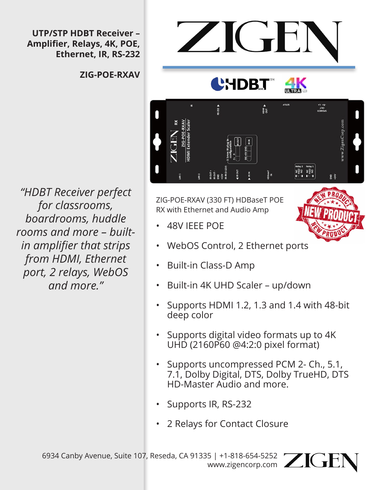**UTP/STP HDBT Receiver – Amplifier, Relays, 4K, POE, Ethernet, IR, RS-232**

**ZIG-POE-RXAV**

*"HDBT Receiver perfect for classrooms, boardrooms, huddle rooms and more – builtin amplifier that strips from HDMI, Ethernet port, 2 relays, WebOS and more."*



ZIG-POE-RXAV (330 FT) HDBaseT POE RX with Ethernet and Audio Amp

- 48V IEEE POE
- WebOS Control, 2 Ethernet ports
- Built-in Class-D Amp
- Built-in 4K UHD Scaler up/down
- Supports HDMI 1.2, 1.3 and 1.4 with 48-bit deep color
- Supports digital video formats up to 4K UHD (2160P60 @4:2:0 pixel format)
- Supports uncompressed PCM 2- Ch., 5.1, 7.1, Dolby Digital, DTS, Dolby TrueHD, DTS HD-Master Audio and more.
- Supports IR, RS-232
- 2 Relays for Contact Closure

6934 Canby Avenue, Suite 107, Reseda, CA 91335 | +1-818-654-5252 www.zigencorp.com ZIUI